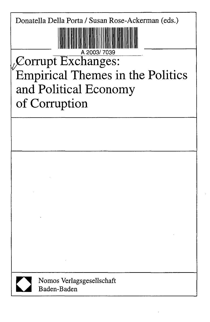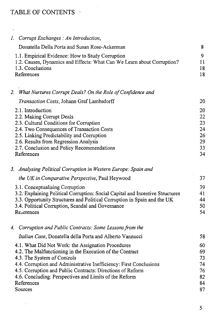## TABLE OF CONTENTS

 $\mathcal{A}^{\mathcal{A}}$ 

 $\cdot$ 

| 1. Corrupt Exchanges : An Introduction,                                                                                                                                                                                                                                                                                                                              |                                               |
|----------------------------------------------------------------------------------------------------------------------------------------------------------------------------------------------------------------------------------------------------------------------------------------------------------------------------------------------------------------------|-----------------------------------------------|
| Donatella Della Porta and Susan Rose-Ackerman                                                                                                                                                                                                                                                                                                                        | 8                                             |
| 1.1. Empirical Evidence: How to Study Corruption<br>1.2. Causes, Dynamics and Effects: What Can We Learn about Corruption?<br>1.3. Conclusions<br>References                                                                                                                                                                                                         | 9<br>11<br>18<br>18                           |
| 2. What Nurtures Corrupt Deals? On the Role of Confidence and                                                                                                                                                                                                                                                                                                        |                                               |
| Transaction Costs, Johann Graf Lambsdorff                                                                                                                                                                                                                                                                                                                            | 20                                            |
| 2.1. Introduction<br>2.2. Making Corrupt Deals<br>2.3. Cultural Conditions for Corruption<br>2.4. Two Consequences of Transaction Costs<br>2.5. Linking Predictability and Corruption<br>2.6. Results from Regression Analysis<br>2.7. Conclusion and Policy Recommendations<br>References                                                                           | 20<br>22<br>23<br>24<br>26<br>29<br>33<br>34  |
| 3. Analysing Political Corruption in Western Europe: Spain and                                                                                                                                                                                                                                                                                                       |                                               |
| the UK in Comparative Perspective, Paul Heywood                                                                                                                                                                                                                                                                                                                      | 37                                            |
| 3.1. Conceptualising Corruption<br>3.2. Explaining Political Corruption: Social Capital and Incentive Structures<br>3.3. Opportunity Structures and Political Corruption in Spain and the UK<br>3.4. Political Corruption, Scandal and Governance<br>References                                                                                                      | 39<br>41<br>44<br>50<br>54                    |
| 4. Corruption and Public Contracts: Some Lessons from the                                                                                                                                                                                                                                                                                                            |                                               |
| <i>Italian Case</i> , Donatella della Porta and Alberto Vannucci                                                                                                                                                                                                                                                                                                     | 58                                            |
| 4.1. What Did Not Work: the Assignation Procedures<br>4.2. The Malfunctioning in the Execution of the Contract<br>4.3. The System of Controls<br>4.4. Corruption and Administrative Inefficiency: First Conclusions<br>4.5. Corruption and Public Contracts: Directions of Reform<br>4.6. Concluding: Perspectives and Limits of the Reform<br>References<br>Sources | 60<br>69<br>73.<br>74<br>76<br>82<br>84<br>87 |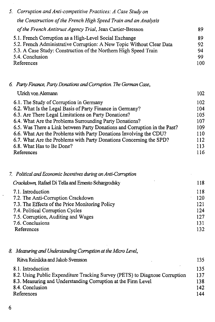| 5. Corruption and Anti-competitive Practices: A Case Study on                                                                   |          |
|---------------------------------------------------------------------------------------------------------------------------------|----------|
| the Construction of the French High Speed Train and an Analysis                                                                 |          |
| of the French Antitrust Agency Trial, Jean Cartier-Bresson                                                                      | 89       |
| 5.1. French Corruption as a High-Level Social Exchange<br>5.2. French Administrative Corruption: A New Topic Without Clear Data | 89<br>92 |
| 5.3. A Case Study: Construction of the Northern High Speed Train<br>5.4. Conclusion                                             | 94<br>99 |
| References                                                                                                                      | 100      |

## *6. Party Finance, Party Donations and Corruption. The German Case,*

| Ulrich von Alemann                                                        | 102 |
|---------------------------------------------------------------------------|-----|
| 6.1. The Study of Corruption in Germany                                   | 102 |
| 6.2. What Is the Legal Basis of Party Finance in Germany?                 | 104 |
| 6.3. Are There Legal Limitations on Party Donations?                      | 105 |
| 6.4. What Are the Problems Surrounding Party Donations?                   | 107 |
| 6.5. Was There a Link between Party Donations and Corruption in the Past? | 109 |
| 6.6. What Are the Problems with Party Donations Involving the CDU?        | 110 |
| 6.7. What Are the Problems with Party Donations Concerning the SPD?       | 112 |
| 6.8. What Has to Be Done?                                                 | 113 |
| References                                                                | 116 |

| 7. Political and Economic Incentives during an Anti-Corruption |     |
|----------------------------------------------------------------|-----|
| Crackdown, Rafael Di Tella and Ernesto Schargrodsky            | 118 |
| 7.1. Introduction                                              | 118 |
| 7.2. The Anti-Corruption Crackdown                             | 120 |
| 7.3. The Effects of the Price Monitoring Policy                | 121 |
| 7.4. Political Corruption Cycles                               | 124 |
| 7.5. Corruption, Auditing and Wages                            | 127 |
| 7.6. Conclusions                                               | 131 |
| References                                                     | 132 |

|  |  |  | 8. Measuring and Understanding Corruption at the Micro Level, |  |
|--|--|--|---------------------------------------------------------------|--|
|--|--|--|---------------------------------------------------------------|--|

| Ritva Reinikka and Jakob Svensson                                           | 135 |
|-----------------------------------------------------------------------------|-----|
| 8.1. Introduction                                                           | 135 |
| 8.2. Using Public Expenditure Tracking Survey (PETS) to Diagnose Corruption | 137 |
| 8.3. Measuring and Understanding Corruption at the Firm Level               | 138 |
| 8.4. Conclusion                                                             | 142 |
| References                                                                  | 144 |

 $\Delta \sim 10^{11}$ 

 $\cdot$